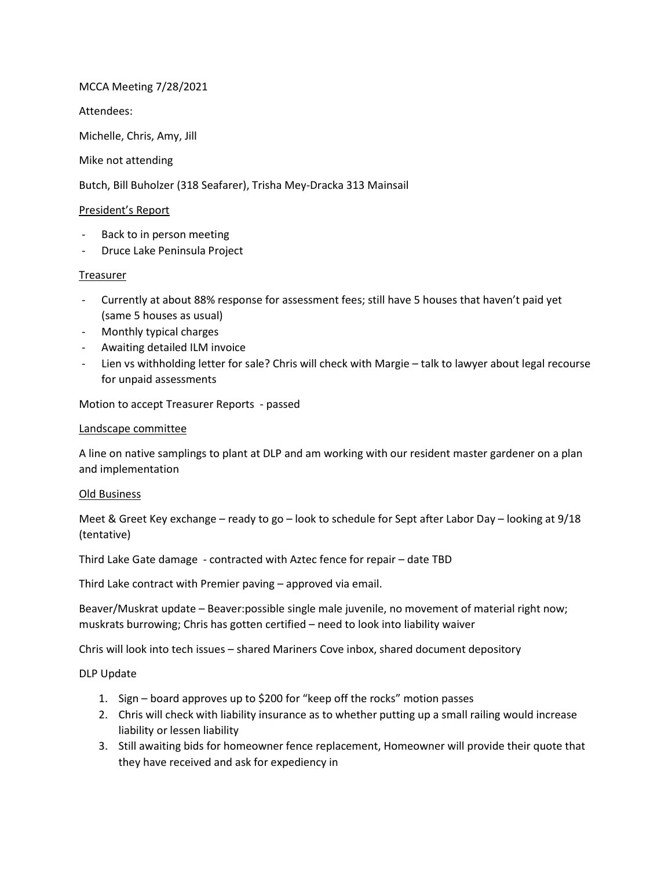# MCCA Meeting 7/28/2021

Attendees:

Michelle, Chris, Amy, Jill

### Mike not attending

Butch, Bill Buholzer (318 Seafarer), Trisha Mey-Dracka 313 Mainsail

## President's Report

- Back to in person meeting
- Druce Lake Peninsula Project

### Treasurer

- Currently at about 88% response for assessment fees; still have 5 houses that haven't paid yet (same 5 houses as usual)
- Monthly typical charges
- Awaiting detailed ILM invoice
- Lien vs withholding letter for sale? Chris will check with Margie talk to lawyer about legal recourse for unpaid assessments

Motion to accept Treasurer Reports - passed

### Landscape committee

A line on native samplings to plant at DLP and am working with our resident master gardener on a plan and implementation

### Old Business

Meet & Greet Key exchange – ready to go – look to schedule for Sept after Labor Day – looking at 9/18 (tentative)

Third Lake Gate damage - contracted with Aztec fence for repair – date TBD

Third Lake contract with Premier paving – approved via email.

Beaver/Muskrat update – Beaver:possible single male juvenile, no movement of material right now; muskrats burrowing; Chris has gotten certified – need to look into liability waiver

Chris will look into tech issues – shared Mariners Cove inbox, shared document depository

### DLP Update

- 1. Sign board approves up to \$200 for "keep off the rocks" motion passes
- 2. Chris will check with liability insurance as to whether putting up a small railing would increase liability or lessen liability
- 3. Still awaiting bids for homeowner fence replacement, Homeowner will provide their quote that they have received and ask for expediency in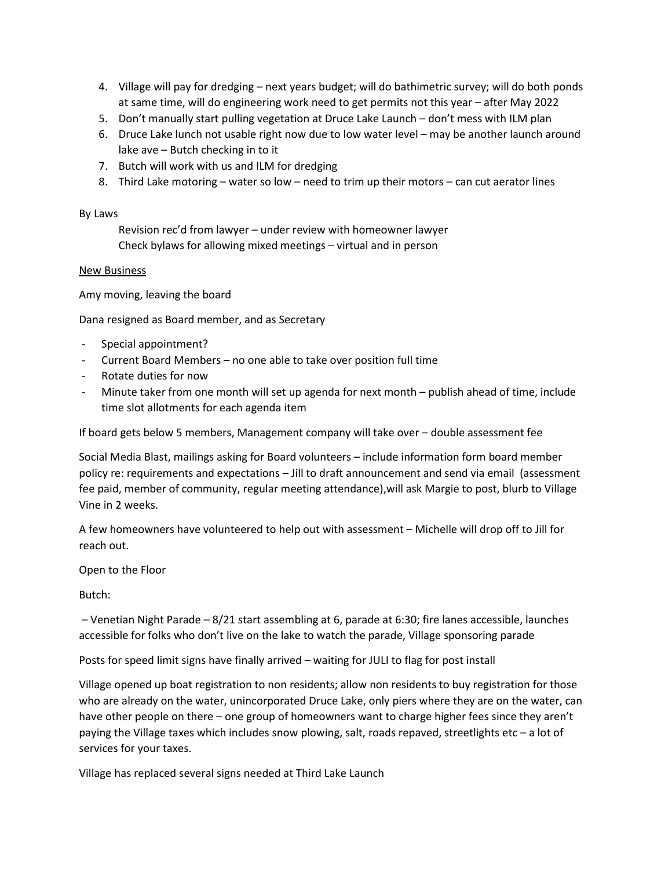- 4. Village will pay for dredging next years budget; will do bathimetric survey; will do both ponds at same time, will do engineering work need to get permits not this year – after May 2022
- 5. Don't manually start pulling vegetation at Druce Lake Launch don't mess with ILM plan
- 6. Druce Lake lunch not usable right now due to low water level may be another launch around lake ave – Butch checking in to it
- 7. Butch will work with us and ILM for dredging
- 8. Third Lake motoring water so low need to trim up their motors can cut aerator lines

#### By Laws

Revision rec'd from lawyer – under review with homeowner lawyer Check bylaws for allowing mixed meetings – virtual and in person

#### New Business

Amy moving, leaving the board

Dana resigned as Board member, and as Secretary

- Special appointment?
- Current Board Members no one able to take over position full time
- Rotate duties for now
- Minute taker from one month will set up agenda for next month publish ahead of time, include time slot allotments for each agenda item

If board gets below 5 members, Management company will take over – double assessment fee

Social Media Blast, mailings asking for Board volunteers – include information form board member policy re: requirements and expectations – Jill to draft announcement and send via email (assessment fee paid, member of community, regular meeting attendance),will ask Margie to post, blurb to Village Vine in 2 weeks.

A few homeowners have volunteered to help out with assessment – Michelle will drop off to Jill for reach out.

Open to the Floor

Butch:

 – Venetian Night Parade – 8/21 start assembling at 6, parade at 6:30; fire lanes accessible, launches accessible for folks who don't live on the lake to watch the parade, Village sponsoring parade

Posts for speed limit signs have finally arrived – waiting for JULI to flag for post install

Village opened up boat registration to non residents; allow non residents to buy registration for those who are already on the water, unincorporated Druce Lake, only piers where they are on the water, can have other people on there – one group of homeowners want to charge higher fees since they aren't paying the Village taxes which includes snow plowing, salt, roads repaved, streetlights etc – a lot of services for your taxes.

Village has replaced several signs needed at Third Lake Launch